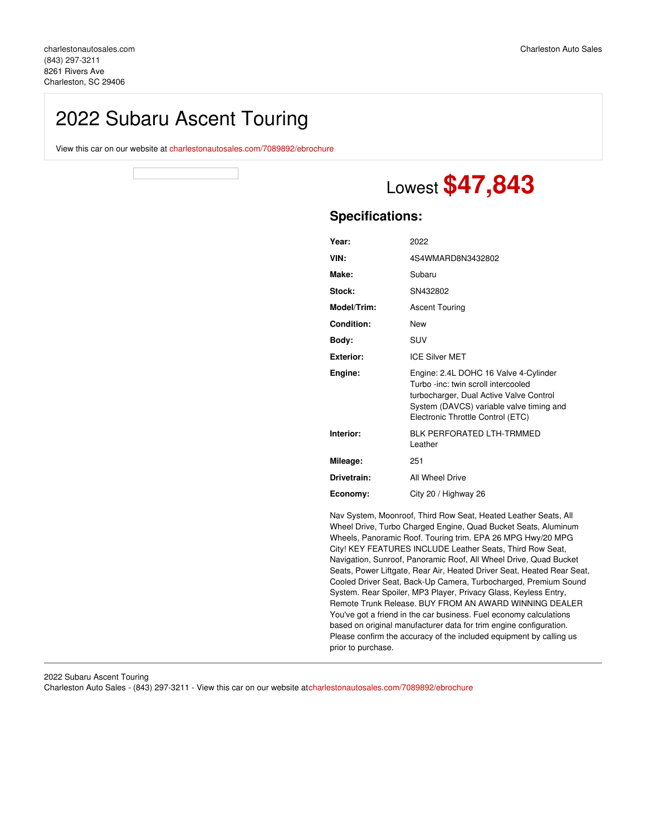## 2022 Subaru Ascent Touring

View this car on our website at [charlestonautosales.com/7089892/ebrochure](https://charlestonautosales.com/vehicle/7089892/2022-subaru-ascent-touring-charleston-sc-29406/7089892/ebrochure)

# Lowest **\$47,843**

## **Specifications:**

| Year:             | 2022                                                                                                                     |
|-------------------|--------------------------------------------------------------------------------------------------------------------------|
| VIN:              | 4S4WMARD8N3432802                                                                                                        |
| Make:             | Subaru                                                                                                                   |
| Stock:            | SN432802                                                                                                                 |
| Model/Trim:       | <b>Ascent Touring</b>                                                                                                    |
| <b>Condition:</b> | <b>New</b>                                                                                                               |
| Body:             | SUV                                                                                                                      |
| Exterior:         | <b>ICF Silver MFT</b>                                                                                                    |
| Engine:           | Engine: 2.4L DOHC 16 Valve 4-Cylinder<br>Turbo -inc: twin scroll intercooled                                             |
|                   | turbocharger, Dual Active Valve Control<br>System (DAVCS) variable valve timing and<br>Electronic Throttle Control (ETC) |
| Interior:         | <b>BLK PERFORATED LTH-TRMMED</b><br>Leather                                                                              |
| Mileage:          | 251                                                                                                                      |
| Drivetrain:       | All Wheel Drive                                                                                                          |

Nav System, Moonroof, Third Row Seat, Heated Leather Seats, All Wheel Drive, Turbo Charged Engine, Quad Bucket Seats, Aluminum Wheels, Panoramic Roof. Touring trim. EPA 26 MPG Hwy/20 MPG City! KEY FEATURES INCLUDE Leather Seats, Third Row Seat, Navigation, Sunroof, Panoramic Roof, All Wheel Drive, Quad Bucket Seats, Power Liftgate, Rear Air, Heated Driver Seat, Heated Rear Seat, Cooled Driver Seat, Back-Up Camera, Turbocharged, Premium Sound System. Rear Spoiler, MP3 Player, Privacy Glass, Keyless Entry, Remote Trunk Release. BUY FROM AN AWARD WINNING DEALER You've got a friend in the car business. Fuel economy calculations based on original manufacturer data for trim engine configuration. Please confirm the accuracy of the included equipment by calling us prior to purchase.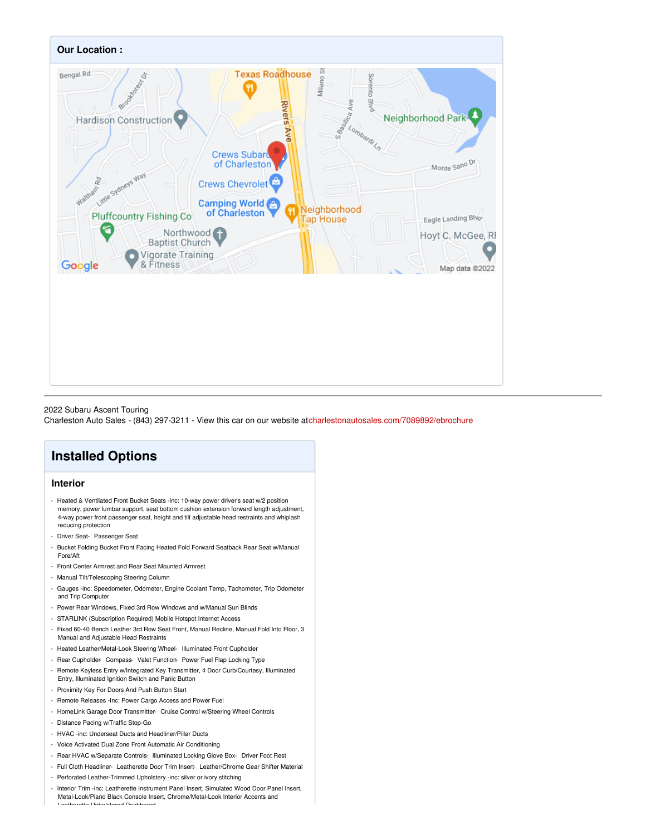

#### 2022 Subaru Ascent Touring

Charleston Auto Sales - (843) 297-3211 - View this car on our website a[tcharlestonautosales.com/7089892/ebrochure](https://charlestonautosales.com/vehicle/7089892/2022-subaru-ascent-touring-charleston-sc-29406/7089892/ebrochure)

## **Installed Options**

## **Interior**

- Heated & Ventilated Front Bucket Seats -inc: 10-way power driver's seat w/2 position memory, power lumbar support, seat bottom cushion extension forward length adjustment, 4-way power front passenger seat, height and tilt adjustable head restraints and whiplash reducing protection
- Driver Seat- Passenger Seat
- Bucket Folding Bucket Front Facing Heated Fold Forward Seatback Rear Seat w/Manual Fore/Aft
- Front Center Armrest and Rear Seat Mounted Armrest
- Manual Tilt/Telescoping Steering Column
- Gauges -inc: Speedometer, Odometer, Engine Coolant Temp, Tachometer, Trip Odometer and Trip Computer
- Power Rear Windows, Fixed 3rd Row Windows and w/Manual Sun Blinds
- STARLINK (Subscription Required) Mobile Hotspot Internet Access
- Fixed 60-40 Bench Leather 3rd Row Seat Front, Manual Recline, Manual Fold Into Floor, 3 Manual and Adjustable Head Restraints
- Heated Leather/Metal-Look Steering Wheel- Illuminated Front Cupholder
- Rear Cupholder- Compass- Valet Function- Power Fuel Flap Locking Type
- Remote Keyless Entry w/Integrated Key Transmitter, 4 Door Curb/Courtesy, Illuminated
- Entry, Illuminated Ignition Switch and Panic Button
- Proximity Key For Doors And Push Button Start
- Remote Releases -Inc: Power Cargo Access and Power Fuel
- HomeLink Garage Door Transmitter- Cruise Control w/Steering Wheel Controls
- Distance Pacing w/Traffic Stop-Go
- HVAC -inc: Underseat Ducts and Headliner/Pillar Ducts
- Voice Activated Dual Zone Front Automatic Air Conditioning
- Rear HVAC w/Separate Controls- Illuminated Locking Glove Box- Driver Foot Rest
- Full Cloth Headliner- Leatherette Door Trim Insert- Leather/Chrome Gear Shifter Material
- Perforated Leather-Trimmed Upholstery -inc: silver or ivory stitching
- Interior Trim -inc: Leatherette Instrument Panel Insert, Simulated Wood Door Panel Insert, Metal-Look/Piano Black Console Insert, Chrome/Metal-Look Interior Accents and Leatherette Upholstered Dashboard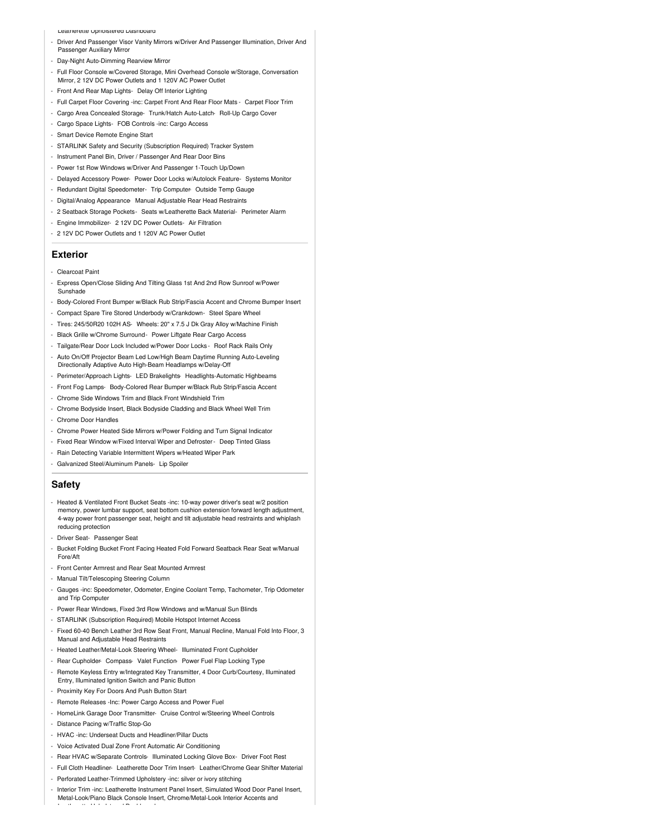Leatherette uphoistered Dashboard

- Driver And Passenger Visor Vanity Mirrors w/Driver And Passenger Illumination, Driver And Passenger Auxiliary Mirror
- Day-Night Auto-Dimming Rearview Mirror
- Full Floor Console w/Covered Storage, Mini Overhead Console w/Storage, Conversation Mirror, 2 12V DC Power Outlets and 1 120V AC Power Outlet
- Front And Rear Map Lights- Delay Off Interior Lighting
- Full Carpet Floor Covering -inc: Carpet Front And Rear Floor Mats Carpet Floor Trim
- Cargo Area Concealed Storage- Trunk/Hatch Auto-Latch- Roll-Up Cargo Cover
- Cargo Space Lights- FOB Controls -inc: Cargo Access
- Smart Device Remote Engine Start
- STARLINK Safety and Security (Subscription Required) Tracker System
- Instrument Panel Bin, Driver / Passenger And Rear Door Bins
- Power 1st Row Windows w/Driver And Passenger 1-Touch Up/Down
- Delayed Accessory Power- Power Door Locks w/Autolock Feature- Systems Monitor
- Redundant Digital Speedometer- Trip Computer- Outside Temp Gauge
- Digital/Analog Appearance Manual Adjustable Rear Head Restraints
- 2 Seatback Storage Pockets- Seats w/Leatherette Back Material- Perimeter Alarm
- Engine Immobilizer- 2 12V DC Power Outlets- Air Filtration
- 2 12V DC Power Outlets and 1 120V AC Power Outlet

## **Exterior**

- Clearcoat Paint
- Express Open/Close Sliding And Tilting Glass 1st And 2nd Row Sunroof w/Power Sunshade
- Body-Colored Front Bumper w/Black Rub Strip/Fascia Accent and Chrome Bumper Insert
- Compact Spare Tire Stored Underbody w/Crankdown- Steel Spare Wheel
- Tires: 245/50R20 102H AS- Wheels: 20" x 7.5 J Dk Gray Alloy w/Machine Finish
- Black Grille w/Chrome Surround- Power Liftgate Rear Cargo Access
- Tailgate/Rear Door Lock Included w/Power Door Locks Roof Rack Rails Only
- Auto On/Off Projector Beam Led Low/High Beam Daytime Running Auto-Leveling Directionally Adaptive Auto High-Beam Headlamps w/Delay-Off
- Perimeter/Approach Lights- LED Brakelights- Headlights-Automatic Highbeams
- Front Fog Lamps- Body-Colored Rear Bumper w/Black Rub Strip/Fascia Accent
- Chrome Side Windows Trim and Black Front Windshield Trim
- Chrome Bodyside Insert, Black Bodyside Cladding and Black Wheel Well Trim
- Chrome Door Handles
- Chrome Power Heated Side Mirrors w/Power Folding and Turn Signal Indicator
- Fixed Rear Window w/Fixed Interval Wiper and Defroster- Deep Tinted Glass
- Rain Detecting Variable Intermittent Wipers w/Heated Wiper Park
- Galvanized Steel/Aluminum Panels- Lip Spoiler

### **Safety**

- Heated & Ventilated Front Bucket Seats -inc: 10-way power driver's seat w/2 position memory, power lumbar support, seat bottom cushion extension forward length adjustment, 4-way power front passenger seat, height and tilt adjustable head restraints and whiplash reducing protection
- Driver Seat- Passenger Seat
- Bucket Folding Bucket Front Facing Heated Fold Forward Seatback Rear Seat w/Manual Fore/Aft
- Front Center Armrest and Rear Seat Mounted Armrest
- Manual Tilt/Telescoping Steering Column
- Gauges -inc: Speedometer, Odometer, Engine Coolant Temp, Tachometer, Trip Odometer and Trip Computer
- Power Rear Windows, Fixed 3rd Row Windows and w/Manual Sun Blinds
- STARLINK (Subscription Required) Mobile Hotspot Internet Access
- Fixed 60-40 Bench Leather 3rd Row Seat Front, Manual Recline, Manual Fold Into Floor, 3 Manual and Adjustable Head Restraints
- Heated Leather/Metal-Look Steering Wheel- Illuminated Front Cupholder
- Rear Cupholder- Compass- Valet Function- Power Fuel Flap Locking Type
- Remote Keyless Entry w/Integrated Key Transmitter, 4 Door Curb/Courtesy, Illuminated Entry, Illuminated Ignition Switch and Panic Button
- Proximity Key For Doors And Push Button Start
- Remote Releases -Inc: Power Cargo Access and Power Fuel
- HomeLink Garage Door Transmitter- Cruise Control w/Steering Wheel Controls
- Distance Pacing w/Traffic Stop-Go

Leatherette Upholstered Dashboard

- HVAC -inc: Underseat Ducts and Headliner/Pillar Ducts
- Voice Activated Dual Zone Front Automatic Air Conditioning
- Rear HVAC w/Separate Controls- Illuminated Locking Glove Box- Driver Foot Rest
- Full Cloth Headliner- Leatherette Door Trim Insert- Leather/Chrome Gear Shifter Material
- Perforated Leather-Trimmed Upholstery -inc: silver or ivory stitching
- Interior Trim -inc: Leatherette Instrument Panel Insert, Simulated Wood Door Panel Insert, Metal-Look/Piano Black Console Insert, Chrome/Metal-Look Interior Accents and